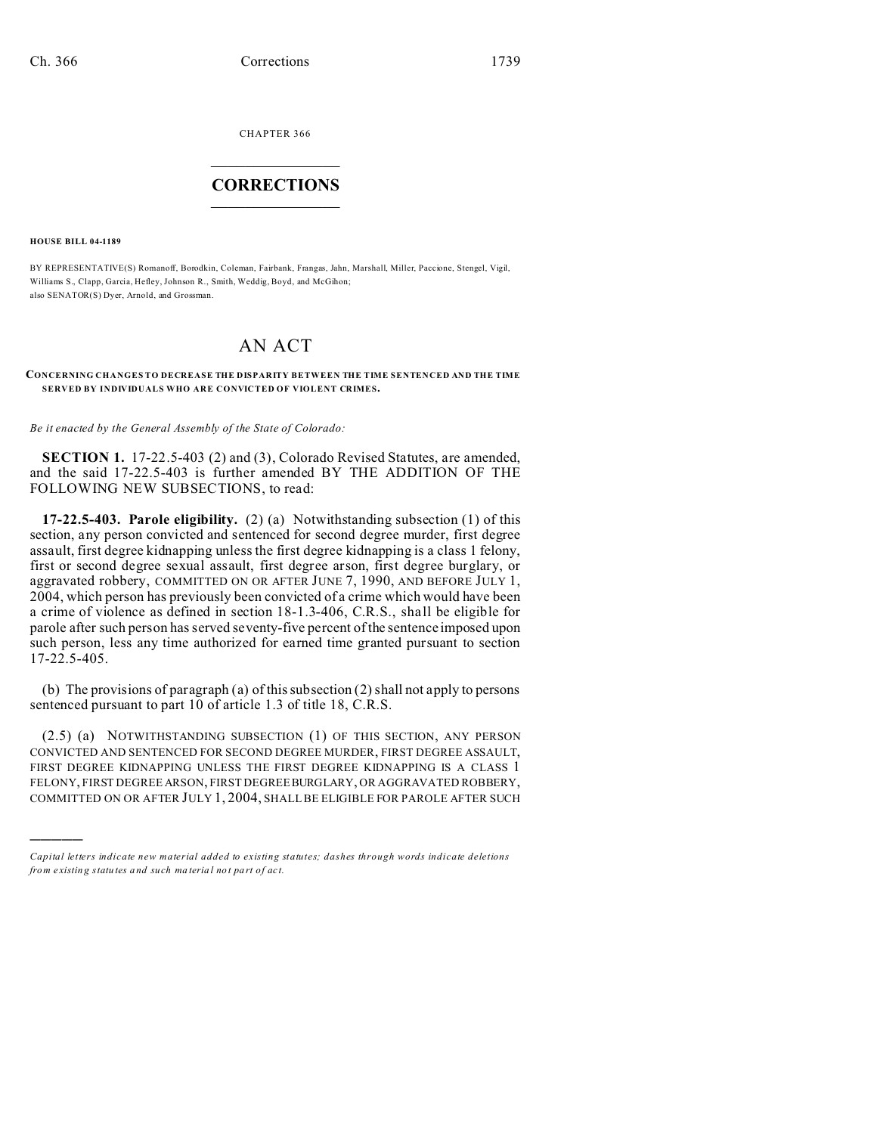CHAPTER 366  $\overline{\phantom{a}}$  , where  $\overline{\phantom{a}}$ 

## **CORRECTIONS**  $\frac{1}{2}$  ,  $\frac{1}{2}$  ,  $\frac{1}{2}$  ,  $\frac{1}{2}$  ,  $\frac{1}{2}$  ,  $\frac{1}{2}$

**HOUSE BILL 04-1189**

)))))

BY REPRESENTATIVE(S) Romanoff, Borodkin, Coleman, Fairbank, Frangas, Jahn, Marshall, Miller, Paccione, Stengel, Vigil, Williams S., Clapp, Garcia, Hefley, Johnson R., Smith, Weddig, Boyd, and McGihon; also SENATOR(S) Dyer, Arnold, and Grossman.

## AN ACT

## **CONCERNING CHANGES TO DECREASE THE DISPARITY BETWEEN THE TIME SENTENCED AND THE TIME SERVED BY INDIVIDUALS WHO ARE CONVICTED OF VIOLENT CRIMES.**

*Be it enacted by the General Assembly of the State of Colorado:*

**SECTION 1.** 17-22.5-403 (2) and (3), Colorado Revised Statutes, are amended, and the said 17-22.5-403 is further amended BY THE ADDITION OF THE FOLLOWING NEW SUBSECTIONS, to read:

**17-22.5-403. Parole eligibility.** (2) (a) Notwithstanding subsection (1) of this section, any person convicted and sentenced for second degree murder, first degree assault, first degree kidnapping unless the first degree kidnapping is a class 1 felony, first or second degree sexual assault, first degree arson, first degree burglary, or aggravated robbery, COMMITTED ON OR AFTER JUNE 7, 1990, AND BEFORE JULY 1, 2004, which person has previously been convicted of a crime which would have been a crime of violence as defined in section 18-1.3-406, C.R.S., shall be eligible for parole after such person has served seventy-five percent of the sentence imposed upon such person, less any time authorized for earned time granted pursuant to section 17-22.5-405.

(b) The provisions of paragraph (a) of this subsection (2) shall not apply to persons sentenced pursuant to part 10 of article 1.3 of title 18, C.R.S.

(2.5) (a) NOTWITHSTANDING SUBSECTION (1) OF THIS SECTION, ANY PERSON CONVICTED AND SENTENCED FOR SECOND DEGREE MURDER, FIRST DEGREE ASSAULT, FIRST DEGREE KIDNAPPING UNLESS THE FIRST DEGREE KIDNAPPING IS A CLASS 1 FELONY, FIRST DEGREE ARSON, FIRST DEGREE BURGLARY, OR AGGRAVATED ROBBERY, COMMITTED ON OR AFTER JULY 1, 2004, SHALL BE ELIGIBLE FOR PAROLE AFTER SUCH

*Capital letters indicate new material added to existing statutes; dashes through words indicate deletions from e xistin g statu tes a nd such ma teria l no t pa rt of ac t.*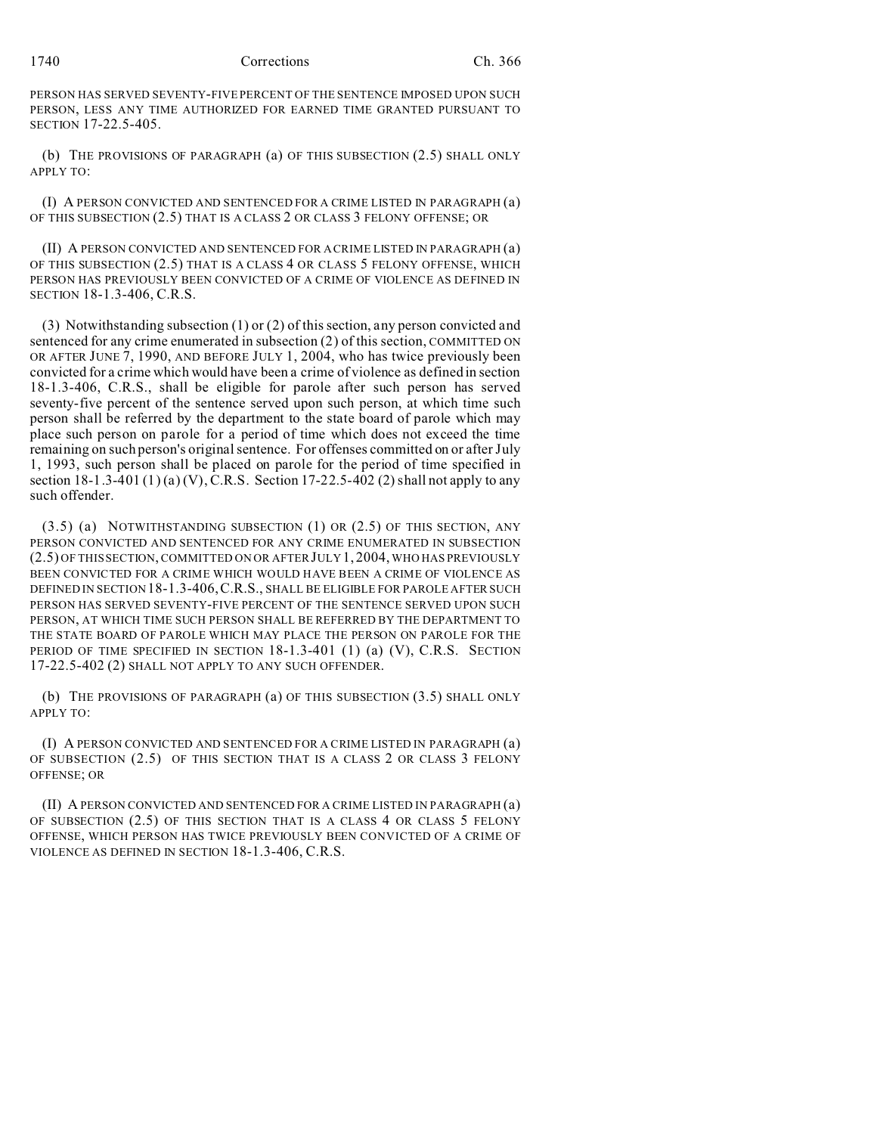## 1740 Corrections Ch. 366

PERSON HAS SERVED SEVENTY-FIVE PERCENT OF THE SENTENCE IMPOSED UPON SUCH PERSON, LESS ANY TIME AUTHORIZED FOR EARNED TIME GRANTED PURSUANT TO SECTION 17-22.5-405.

(b) THE PROVISIONS OF PARAGRAPH (a) OF THIS SUBSECTION (2.5) SHALL ONLY APPLY TO:

(I) A PERSON CONVICTED AND SENTENCED FOR A CRIME LISTED IN PARAGRAPH (a) OF THIS SUBSECTION (2.5) THAT IS A CLASS 2 OR CLASS 3 FELONY OFFENSE; OR

(II) A PERSON CONVICTED AND SENTENCED FOR A CRIME LISTED IN PARAGRAPH (a) OF THIS SUBSECTION (2.5) THAT IS A CLASS 4 OR CLASS 5 FELONY OFFENSE, WHICH PERSON HAS PREVIOUSLY BEEN CONVICTED OF A CRIME OF VIOLENCE AS DEFINED IN SECTION 18-1.3-406, C.R.S.

(3) Notwithstanding subsection (1) or (2) of this section, any person convicted and sentenced for any crime enumerated in subsection (2) of this section, COMMITTED ON OR AFTER JUNE 7, 1990, AND BEFORE JULY 1, 2004, who has twice previously been convicted for a crime which would have been a crime of violence as defined in section 18-1.3-406, C.R.S., shall be eligible for parole after such person has served seventy-five percent of the sentence served upon such person, at which time such person shall be referred by the department to the state board of parole which may place such person on parole for a period of time which does not exceed the time remaining on such person's original sentence. For offenses committed on or after July 1, 1993, such person shall be placed on parole for the period of time specified in section  $18-1.3-401(1)(a)(V)$ , C.R.S. Section  $17-22.5-402(2)$  shall not apply to any such offender.

(3.5) (a) NOTWITHSTANDING SUBSECTION (1) OR (2.5) OF THIS SECTION, ANY PERSON CONVICTED AND SENTENCED FOR ANY CRIME ENUMERATED IN SUBSECTION (2.5) OF THIS SECTION, COMMITTED ON OR AFTERJULY 1, 2004, WHO HAS PREVIOUSLY BEEN CONVICTED FOR A CRIME WHICH WOULD HAVE BEEN A CRIME OF VIOLENCE AS DEFINED IN SECTION 18-1.3-406,C.R.S., SHALL BE ELIGIBLE FOR PAROLE AFTER SUCH PERSON HAS SERVED SEVENTY-FIVE PERCENT OF THE SENTENCE SERVED UPON SUCH PERSON, AT WHICH TIME SUCH PERSON SHALL BE REFERRED BY THE DEPARTMENT TO THE STATE BOARD OF PAROLE WHICH MAY PLACE THE PERSON ON PAROLE FOR THE PERIOD OF TIME SPECIFIED IN SECTION 18-1.3-401 (1) (a) (V), C.R.S. SECTION 17-22.5-402 (2) SHALL NOT APPLY TO ANY SUCH OFFENDER.

(b) THE PROVISIONS OF PARAGRAPH (a) OF THIS SUBSECTION (3.5) SHALL ONLY APPLY TO:

(I) A PERSON CONVICTED AND SENTENCED FOR A CRIME LISTED IN PARAGRAPH (a) OF SUBSECTION (2.5) OF THIS SECTION THAT IS A CLASS 2 OR CLASS 3 FELONY OFFENSE; OR

(II) A PERSON CONVICTED AND SENTENCED FOR A CRIME LISTED IN PARAGRAPH (a) OF SUBSECTION (2.5) OF THIS SECTION THAT IS A CLASS 4 OR CLASS 5 FELONY OFFENSE, WHICH PERSON HAS TWICE PREVIOUSLY BEEN CONVICTED OF A CRIME OF VIOLENCE AS DEFINED IN SECTION 18-1.3-406, C.R.S.